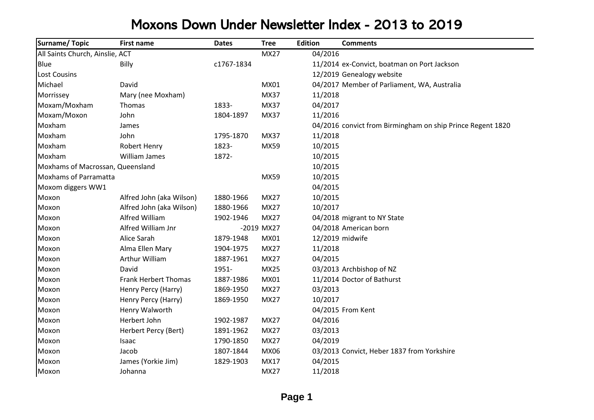## Moxons Down Under Newsletter Index - 2013 to 2019

| Surname/Topic                    | <b>First name</b>           | <b>Dates</b> | <b>Tree</b> | <b>Edition</b> | <b>Comments</b>                                            |
|----------------------------------|-----------------------------|--------------|-------------|----------------|------------------------------------------------------------|
| All Saints Church, Ainslie, ACT  |                             |              | <b>MX27</b> | 04/2016        |                                                            |
| <b>Blue</b>                      | Billy                       | c1767-1834   |             |                | 11/2014 ex-Convict, boatman on Port Jackson                |
| <b>Lost Cousins</b>              |                             |              |             |                | 12/2019 Genealogy website                                  |
| Michael                          | David                       |              | MX01        |                | 04/2017 Member of Parliament, WA, Australia                |
| Morrissey                        | Mary (nee Moxham)           |              | <b>MX37</b> | 11/2018        |                                                            |
| Moxam/Moxham                     | Thomas                      | 1833-        | <b>MX37</b> | 04/2017        |                                                            |
| Moxam/Moxon                      | John                        | 1804-1897    | <b>MX37</b> | 11/2016        |                                                            |
| Moxham                           | James                       |              |             |                | 04/2016 convict from Birmingham on ship Prince Regent 1820 |
| Moxham                           | John                        | 1795-1870    | <b>MX37</b> | 11/2018        |                                                            |
| Moxham                           | Robert Henry                | 1823-        | MX59        | 10/2015        |                                                            |
| Moxham                           | William James               | 1872-        |             | 10/2015        |                                                            |
| Moxhams of Macrossan, Queensland |                             |              |             | 10/2015        |                                                            |
| <b>Moxhams of Parramatta</b>     |                             |              | MX59        | 10/2015        |                                                            |
| Moxom diggers WW1                |                             |              |             | 04/2015        |                                                            |
| Moxon                            | Alfred John (aka Wilson)    | 1880-1966    | <b>MX27</b> | 10/2015        |                                                            |
| Moxon                            | Alfred John (aka Wilson)    | 1880-1966    | MX27        | 10/2017        |                                                            |
| Moxon                            | Alfred William              | 1902-1946    | MX27        |                | 04/2018 migrant to NY State                                |
| Moxon                            | Alfred William Jnr          |              | -2019 MX27  |                | 04/2018 American born                                      |
| Moxon                            | Alice Sarah                 | 1879-1948    | MX01        |                | 12/2019 midwife                                            |
| Moxon                            | Alma Ellen Mary             | 1904-1975    | <b>MX27</b> | 11/2018        |                                                            |
| Moxon                            | Arthur William              | 1887-1961    | <b>MX27</b> | 04/2015        |                                                            |
| Moxon                            | David                       | 1951-        | <b>MX25</b> |                | 03/2013 Archbishop of NZ                                   |
| Moxon                            | <b>Frank Herbert Thomas</b> | 1887-1986    | MX01        |                | 11/2014 Doctor of Bathurst                                 |
| Moxon                            | Henry Percy (Harry)         | 1869-1950    | MX27        | 03/2013        |                                                            |
| Moxon                            | Henry Percy (Harry)         | 1869-1950    | MX27        | 10/2017        |                                                            |
| Moxon                            | Henry Walworth              |              |             |                | 04/2015 From Kent                                          |
| Moxon                            | Herbert John                | 1902-1987    | <b>MX27</b> | 04/2016        |                                                            |
| Moxon                            | Herbert Percy (Bert)        | 1891-1962    | MX27        | 03/2013        |                                                            |
| Moxon                            | Isaac                       | 1790-1850    | <b>MX27</b> | 04/2019        |                                                            |
| Moxon                            | Jacob                       | 1807-1844    | MX06        |                | 03/2013 Convict, Heber 1837 from Yorkshire                 |
| Moxon                            | James (Yorkie Jim)          | 1829-1903    | MX17        | 04/2015        |                                                            |
| Moxon                            | Johanna                     |              | <b>MX27</b> | 11/2018        |                                                            |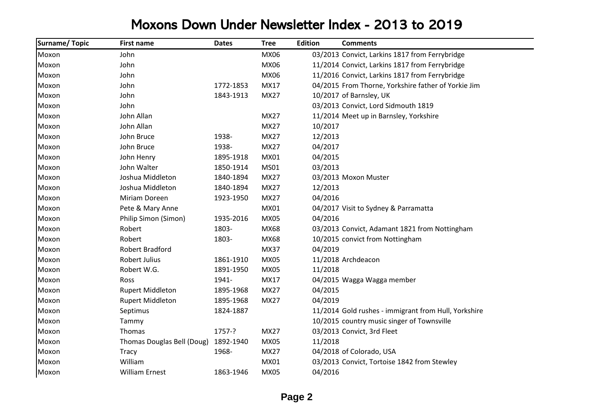## Moxons Down Under Newsletter Index - 2013 to 2019

| <b>Surname/Topic</b> | <b>First name</b>          | <b>Dates</b> | <b>Tree</b> | <b>Edition</b> | <b>Comments</b>                                      |
|----------------------|----------------------------|--------------|-------------|----------------|------------------------------------------------------|
| Moxon                | John                       |              | MX06        |                | 03/2013 Convict, Larkins 1817 from Ferrybridge       |
| Moxon                | John                       |              | MX06        |                | 11/2014 Convict, Larkins 1817 from Ferrybridge       |
| Moxon                | John                       |              | <b>MX06</b> |                | 11/2016 Convict, Larkins 1817 from Ferrybridge       |
| Moxon                | John                       | 1772-1853    | MX17        |                | 04/2015 From Thorne, Yorkshire father of Yorkie Jim  |
| Moxon                | John                       | 1843-1913    | <b>MX27</b> |                | 10/2017 of Barnsley, UK                              |
| Moxon                | John                       |              |             |                | 03/2013 Convict, Lord Sidmouth 1819                  |
| Moxon                | John Allan                 |              | <b>MX27</b> |                | 11/2014 Meet up in Barnsley, Yorkshire               |
| Moxon                | John Allan                 |              | <b>MX27</b> | 10/2017        |                                                      |
| Moxon                | John Bruce                 | 1938-        | <b>MX27</b> | 12/2013        |                                                      |
| Moxon                | John Bruce                 | 1938-        | <b>MX27</b> | 04/2017        |                                                      |
| Moxon                | John Henry                 | 1895-1918    | MX01        | 04/2015        |                                                      |
| Moxon                | John Walter                | 1850-1914    | <b>MS01</b> | 03/2013        |                                                      |
| Moxon                | Joshua Middleton           | 1840-1894    | <b>MX27</b> |                | 03/2013 Moxon Muster                                 |
| Moxon                | Joshua Middleton           | 1840-1894    | <b>MX27</b> | 12/2013        |                                                      |
| Moxon                | Miriam Doreen              | 1923-1950    | <b>MX27</b> | 04/2016        |                                                      |
| Moxon                | Pete & Mary Anne           |              | MX01        |                | 04/2017 Visit to Sydney & Parramatta                 |
| Moxon                | Philip Simon (Simon)       | 1935-2016    | <b>MX05</b> | 04/2016        |                                                      |
| Moxon                | Robert                     | 1803-        | MX68        |                | 03/2013 Convict, Adamant 1821 from Nottingham        |
| Moxon                | Robert                     | 1803-        | MX68        |                | 10/2015 convict from Nottingham                      |
| Moxon                | Robert Bradford            |              | <b>MX37</b> | 04/2019        |                                                      |
| Moxon                | <b>Robert Julius</b>       | 1861-1910    | <b>MX05</b> |                | 11/2018 Archdeacon                                   |
| Moxon                | Robert W.G.                | 1891-1950    | <b>MX05</b> | 11/2018        |                                                      |
| Moxon                | <b>Ross</b>                | 1941-        | MX17        |                | 04/2015 Wagga Wagga member                           |
| Moxon                | <b>Rupert Middleton</b>    | 1895-1968    | <b>MX27</b> | 04/2015        |                                                      |
| Moxon                | <b>Rupert Middleton</b>    | 1895-1968    | <b>MX27</b> | 04/2019        |                                                      |
| Moxon                | Septimus                   | 1824-1887    |             |                | 11/2014 Gold rushes - immigrant from Hull, Yorkshire |
| Moxon                | Tammy                      |              |             |                | 10/2015 country music singer of Townsville           |
| Moxon                | Thomas                     | 1757-?       | <b>MX27</b> |                | 03/2013 Convict, 3rd Fleet                           |
| Moxon                | Thomas Douglas Bell (Doug) | 1892-1940    | <b>MX05</b> | 11/2018        |                                                      |
| Moxon                | Tracy                      | 1968-        | <b>MX27</b> |                | 04/2018 of Colorado, USA                             |
| Moxon                | William                    |              | MX01        |                | 03/2013 Convict, Tortoise 1842 from Stewley          |
| Moxon                | <b>William Ernest</b>      | 1863-1946    | <b>MX05</b> | 04/2016        |                                                      |